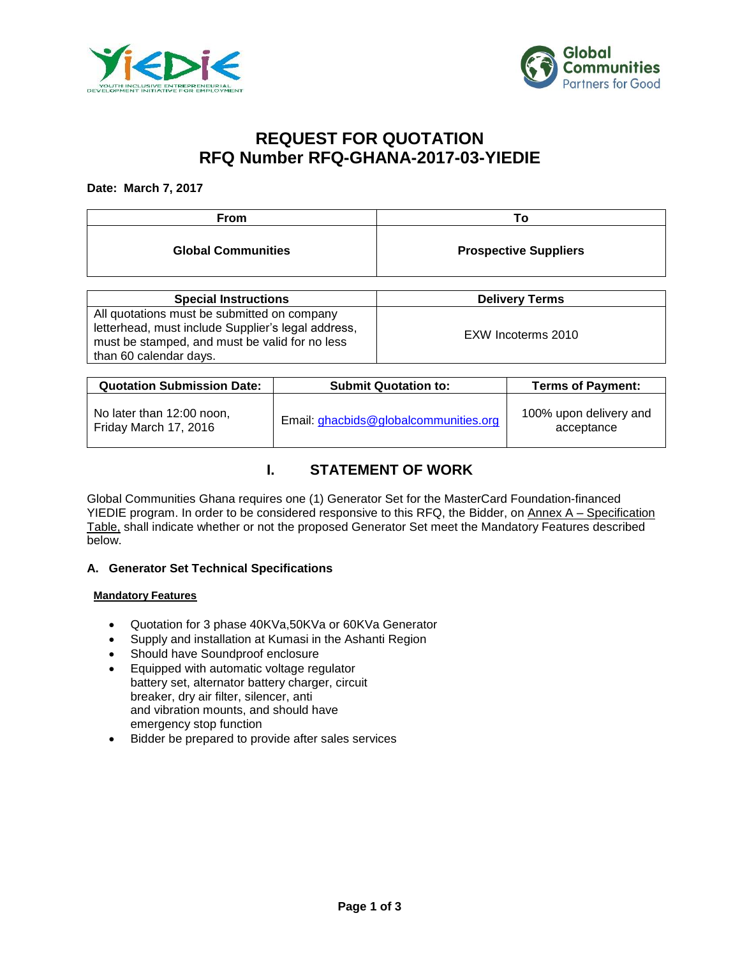



# **REQUEST FOR QUOTATION RFQ Number RFQ-GHANA-2017-03-YIEDIE**

### **Date: March 7, 2017**

| <b>From</b>               | ∣ O                          |
|---------------------------|------------------------------|
| <b>Global Communities</b> | <b>Prospective Suppliers</b> |

| <b>Special Instructions</b>                        | <b>Delivery Terms</b> |
|----------------------------------------------------|-----------------------|
| All quotations must be submitted on company        |                       |
| letterhead, must include Supplier's legal address, | EXW Incoterms 2010    |
| must be stamped, and must be valid for no less     |                       |
| than 60 calendar days.                             |                       |

| <b>Quotation Submission Date:</b>                  | <b>Submit Quotation to:</b>           | <b>Terms of Payment:</b>             |
|----------------------------------------------------|---------------------------------------|--------------------------------------|
| No later than 12:00 noon,<br>Friday March 17, 2016 | Email: ghacbids@globalcommunities.org | 100% upon delivery and<br>acceptance |

# **I. STATEMENT OF WORK**

Global Communities Ghana requires one (1) Generator Set for the MasterCard Foundation-financed YIEDIE program. In order to be considered responsive to this RFQ, the Bidder, on Annex A – Specification Table, shall indicate whether or not the proposed Generator Set meet the Mandatory Features described below.

# **A. Generator Set Technical Specifications**

### **Mandatory Features**

- Quotation for 3 phase 40KVa,50KVa or 60KVa Generator
- Supply and installation at Kumasi in the Ashanti Region
- Should have Soundproof enclosure
- **Equipped with automatic voltage regulator** battery set, alternator battery charger, circuit breaker, dry air filter, silencer, anti and vibration mounts, and should have emergency stop function
- Bidder be prepared to provide after sales services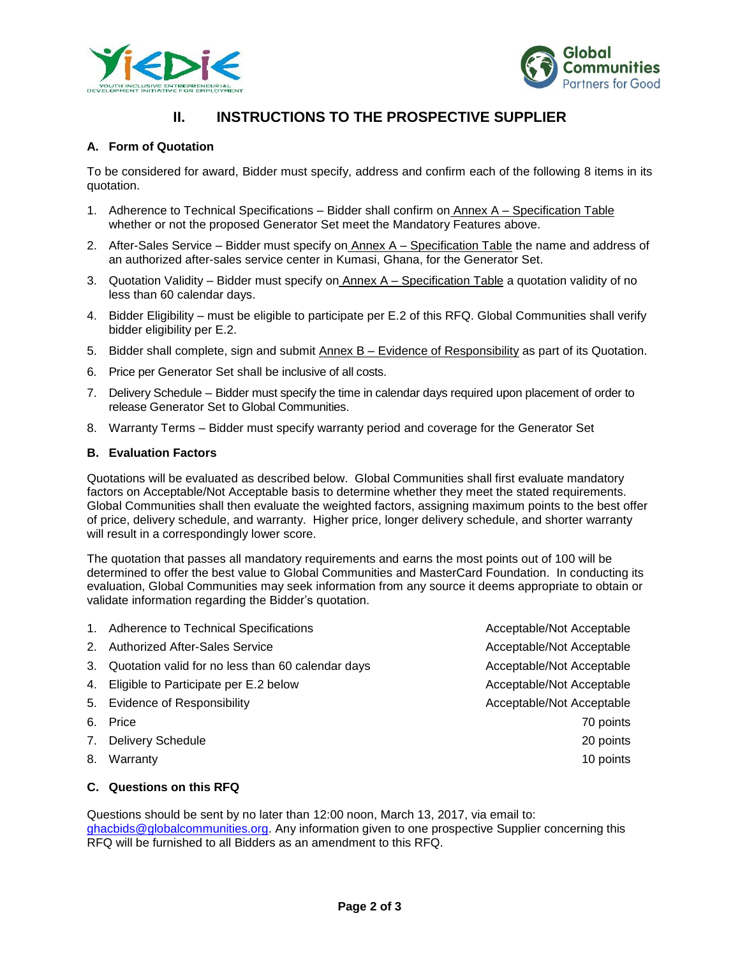



# **II. INSTRUCTIONS TO THE PROSPECTIVE SUPPLIER**

# **A. Form of Quotation**

To be considered for award, Bidder must specify, address and confirm each of the following 8 items in its quotation.

- 1. Adherence to Technical Specifications Bidder shall confirm on Annex A Specification Table whether or not the proposed Generator Set meet the Mandatory Features above.
- 2. After-Sales Service Bidder must specify on Annex A Specification Table the name and address of an authorized after-sales service center in Kumasi, Ghana, for the Generator Set.
- 3. Quotation Validity Bidder must specify on Annex A Specification Table a quotation validity of no less than 60 calendar days.
- 4. Bidder Eligibility must be eligible to participate per E.2 of this RFQ. Global Communities shall verify bidder eligibility per E.2.
- 5. Bidder shall complete, sign and submit Annex B Evidence of Responsibility as part of its Quotation.
- 6. Price per Generator Set shall be inclusive of all costs.
- 7. Delivery Schedule Bidder must specify the time in calendar days required upon placement of order to release Generator Set to Global Communities.
- 8. Warranty Terms Bidder must specify warranty period and coverage for the Generator Set

### **B. Evaluation Factors**

Quotations will be evaluated as described below. Global Communities shall first evaluate mandatory factors on Acceptable/Not Acceptable basis to determine whether they meet the stated requirements. Global Communities shall then evaluate the weighted factors, assigning maximum points to the best offer of price, delivery schedule, and warranty. Higher price, longer delivery schedule, and shorter warranty will result in a correspondingly lower score.

The quotation that passes all mandatory requirements and earns the most points out of 100 will be determined to offer the best value to Global Communities and MasterCard Foundation. In conducting its evaluation, Global Communities may seek information from any source it deems appropriate to obtain or validate information regarding the Bidder's quotation.

1. Adherence to Technical Specifications **Acceptable/Not Acceptable** Acceptable And Acceptable 2. Authorized After-Sales Service Acceptable/Not Acceptable/Not Acceptable 3. Quotation valid for no less than 60 calendar days **Acceptable/Not Acceptable** /Not Acceptable 4. Eligible to Participate per E.2 below Acceptable/Not Acceptable/Not Acceptable 5. Evidence of Responsibility and the settlement of Acceptable/Not Acceptable 6. Price 70 points and the set of the set of the set of the set of the set of the set of the set of the set of the set of the set of the set of the set of the set of the set of the set of the set of the set of the set of t 7. Delivery Schedule 20 points and 20 points and 20 points and 20 points and 20 points and 20 points and 20 points and 20 points and 20 points and 20 points and 20 points and 20 points and 20 points and 20 points and 20 po 8. Warranty 10 points and the set of the set of the set of the set of the set of the set of the set of the set of the set of the set of the set of the set of the set of the set of the set of the set of the set of the set o

### **C. Questions on this RFQ**

Questions should be sent by no later than 12:00 noon, March 13, 2017, via email to: [ghacbids@globalcommunities.org.](mailto:ghacbids@globalcommunities.org) Any information given to one prospective Supplier concerning this RFQ will be furnished to all Bidders as an amendment to this RFQ.